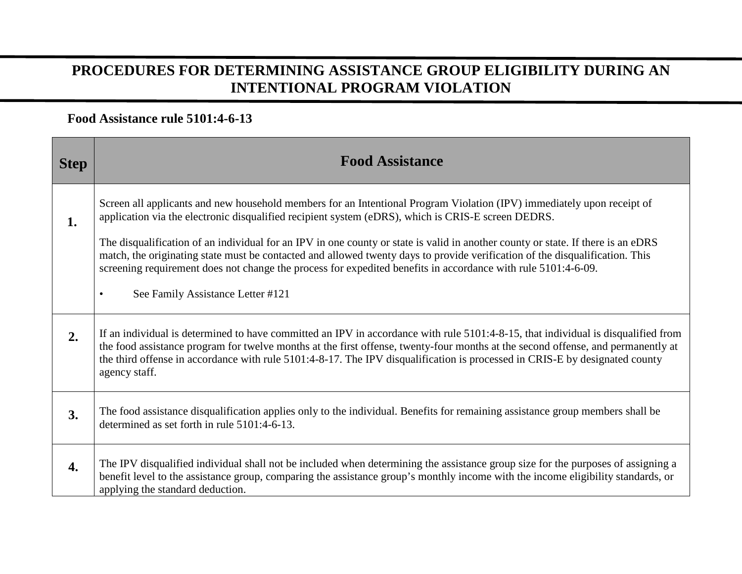## **PROCEDURES FOR DETERMINING ASSISTANCE GROUP ELIGIBILITY DURING AN INTENTIONAL PROGRAM VIOLATION**

## **Food Assistance rule 5101:4-6-13**

| <b>Step</b>      | <b>Food Assistance</b>                                                                                                                                                                                                                                                                                                                                                                                                                                                                                                                                                                                            |
|------------------|-------------------------------------------------------------------------------------------------------------------------------------------------------------------------------------------------------------------------------------------------------------------------------------------------------------------------------------------------------------------------------------------------------------------------------------------------------------------------------------------------------------------------------------------------------------------------------------------------------------------|
| 1.               | Screen all applicants and new household members for an Intentional Program Violation (IPV) immediately upon receipt of<br>application via the electronic disqualified recipient system (eDRS), which is CRIS-E screen DEDRS.<br>The disqualification of an individual for an IPV in one county or state is valid in another county or state. If there is an eDRS<br>match, the originating state must be contacted and allowed twenty days to provide verification of the disqualification. This<br>screening requirement does not change the process for expedited benefits in accordance with rule 5101:4-6-09. |
|                  | See Family Assistance Letter #121<br>$\bullet$                                                                                                                                                                                                                                                                                                                                                                                                                                                                                                                                                                    |
| 2.               | If an individual is determined to have committed an IPV in accordance with rule 5101:4-8-15, that individual is disqualified from<br>the food assistance program for twelve months at the first offense, twenty-four months at the second offense, and permanently at<br>the third offense in accordance with rule 5101:4-8-17. The IPV disqualification is processed in CRIS-E by designated county<br>agency staff.                                                                                                                                                                                             |
| 3.               | The food assistance disqualification applies only to the individual. Benefits for remaining assistance group members shall be<br>determined as set forth in rule 5101:4-6-13.                                                                                                                                                                                                                                                                                                                                                                                                                                     |
| $\overline{4}$ . | The IPV disqualified individual shall not be included when determining the assistance group size for the purposes of assigning a<br>benefit level to the assistance group, comparing the assistance group's monthly income with the income eligibility standards, or<br>applying the standard deduction.                                                                                                                                                                                                                                                                                                          |